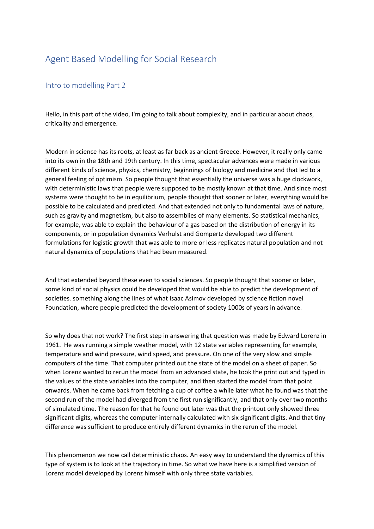## Agent Based Modelling for Social Research

## Intro to modelling Part 2

Hello, in this part of the video, I'm going to talk about complexity, and in particular about chaos, criticality and emergence.

Modern in science has its roots, at least as far back as ancient Greece. However, it really only came into its own in the 18th and 19th century. In this time, spectacular advances were made in various different kinds of science, physics, chemistry, beginnings of biology and medicine and that led to a general feeling of optimism. So people thought that essentially the universe was a huge clockwork, with deterministic laws that people were supposed to be mostly known at that time. And since most systems were thought to be in equilibrium, people thought that sooner or later, everything would be possible to be calculated and predicted. And that extended not only to fundamental laws of nature, such as gravity and magnetism, but also to assemblies of many elements. So statistical mechanics, for example, was able to explain the behaviour of a gas based on the distribution of energy in its components, or in population dynamics Verhulst and Gompertz developed two different formulations for logistic growth that was able to more or less replicates natural population and not natural dynamics of populations that had been measured.

And that extended beyond these even to social sciences. So people thought that sooner or later, some kind of social physics could be developed that would be able to predict the development of societies. something along the lines of what Isaac Asimov developed by science fiction novel Foundation, where people predicted the development of society 1000s of years in advance.

So why does that not work? The first step in answering that question was made by Edward Lorenz in 1961. He was running a simple weather model, with 12 state variables representing for example, temperature and wind pressure, wind speed, and pressure. On one of the very slow and simple computers of the time. That computer printed out the state of the model on a sheet of paper. So when Lorenz wanted to rerun the model from an advanced state, he took the print out and typed in the values of the state variables into the computer, and then started the model from that point onwards. When he came back from fetching a cup of coffee a while later what he found was that the second run of the model had diverged from the first run significantly, and that only over two months of simulated time. The reason for that he found out later was that the printout only showed three significant digits, whereas the computer internally calculated with six significant digits. And that tiny difference was sufficient to produce entirely different dynamics in the rerun of the model.

This phenomenon we now call deterministic chaos. An easy way to understand the dynamics of this type of system is to look at the trajectory in time. So what we have here is a simplified version of Lorenz model developed by Lorenz himself with only three state variables.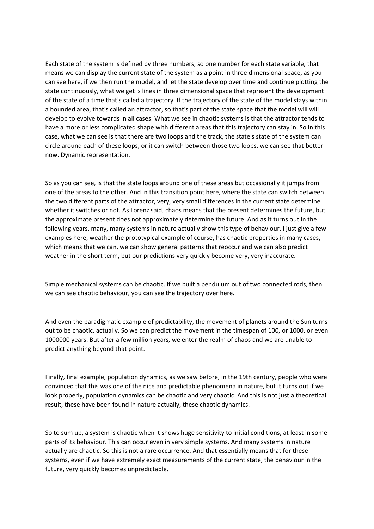Each state of the system is defined by three numbers, so one number for each state variable, that means we can display the current state of the system as a point in three dimensional space, as you can see here, if we then run the model, and let the state develop over time and continue plotting the state continuously, what we get is lines in three dimensional space that represent the development of the state of a time that's called a trajectory. If the trajectory of the state of the model stays within a bounded area, that's called an attractor, so that's part of the state space that the model will will develop to evolve towards in all cases. What we see in chaotic systems is that the attractor tends to have a more or less complicated shape with different areas that this trajectory can stay in. So in this case, what we can see is that there are two loops and the track, the state's state of the system can circle around each of these loops, or it can switch between those two loops, we can see that better now. Dynamic representation.

So as you can see, is that the state loops around one of these areas but occasionally it jumps from one of the areas to the other. And in this transition point here, where the state can switch between the two different parts of the attractor, very, very small differences in the current state determine whether it switches or not. As Lorenz said, chaos means that the present determines the future, but the approximate present does not approximately determine the future. And as it turns out in the following years, many, many systems in nature actually show this type of behaviour. I just give a few examples here, weather the prototypical example of course, has chaotic properties in many cases, which means that we can, we can show general patterns that reoccur and we can also predict weather in the short term, but our predictions very quickly become very, very inaccurate.

Simple mechanical systems can be chaotic. If we built a pendulum out of two connected rods, then we can see chaotic behaviour, you can see the trajectory over here.

And even the paradigmatic example of predictability, the movement of planets around the Sun turns out to be chaotic, actually. So we can predict the movement in the timespan of 100, or 1000, or even 1000000 years. But after a few million years, we enter the realm of chaos and we are unable to predict anything beyond that point.

Finally, final example, population dynamics, as we saw before, in the 19th century, people who were convinced that this was one of the nice and predictable phenomena in nature, but it turns out if we look properly, population dynamics can be chaotic and very chaotic. And this is not just a theoretical result, these have been found in nature actually, these chaotic dynamics.

So to sum up, a system is chaotic when it shows huge sensitivity to initial conditions, at least in some parts of its behaviour. This can occur even in very simple systems. And many systems in nature actually are chaotic. So this is not a rare occurrence. And that essentially means that for these systems, even if we have extremely exact measurements of the current state, the behaviour in the future, very quickly becomes unpredictable.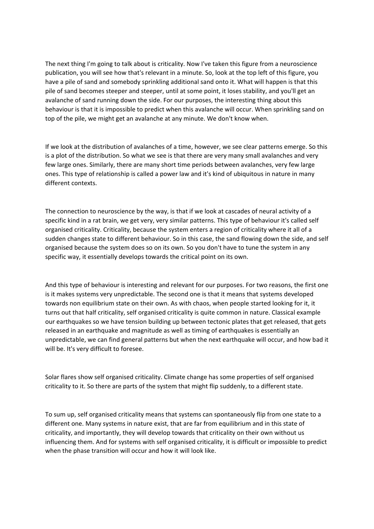The next thing I'm going to talk about is criticality. Now I've taken this figure from a neuroscience publication, you will see how that's relevant in a minute. So, look at the top left of this figure, you have a pile of sand and somebody sprinkling additional sand onto it. What will happen is that this pile of sand becomes steeper and steeper, until at some point, it loses stability, and you'll get an avalanche of sand running down the side. For our purposes, the interesting thing about this behaviour is that it is impossible to predict when this avalanche will occur. When sprinkling sand on top of the pile, we might get an avalanche at any minute. We don't know when.

If we look at the distribution of avalanches of a time, however, we see clear patterns emerge. So this is a plot of the distribution. So what we see is that there are very many small avalanches and very few large ones. Similarly, there are many short time periods between avalanches, very few large ones. This type of relationship is called a power law and it's kind of ubiquitous in nature in many different contexts.

The connection to neuroscience by the way, is that if we look at cascades of neural activity of a specific kind in a rat brain, we get very, very similar patterns. This type of behaviour it's called self organised criticality. Criticality, because the system enters a region of criticality where it all of a sudden changes state to different behaviour. So in this case, the sand flowing down the side, and self organised because the system does so on its own. So you don't have to tune the system in any specific way, it essentially develops towards the critical point on its own.

And this type of behaviour is interesting and relevant for our purposes. For two reasons, the first one is it makes systems very unpredictable. The second one is that it means that systems developed towards non equilibrium state on their own. As with chaos, when people started looking for it, it turns out that half criticality, self organised criticality is quite common in nature. Classical example our earthquakes so we have tension building up between tectonic plates that get released, that gets released in an earthquake and magnitude as well as timing of earthquakes is essentially an unpredictable, we can find general patterns but when the next earthquake will occur, and how bad it will be. It's very difficult to foresee.

Solar flares show self organised criticality. Climate change has some properties of self organised criticality to it. So there are parts of the system that might flip suddenly, to a different state.

To sum up, self organised criticality means that systems can spontaneously flip from one state to a different one. Many systems in nature exist, that are far from equilibrium and in this state of criticality, and importantly, they will develop towards that criticality on their own without us influencing them. And for systems with self organised criticality, it is difficult or impossible to predict when the phase transition will occur and how it will look like.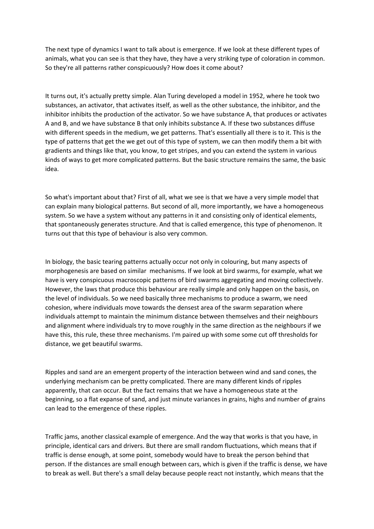The next type of dynamics I want to talk about is emergence. If we look at these different types of animals, what you can see is that they have, they have a very striking type of coloration in common. So they're all patterns rather conspicuously? How does it come about?

It turns out, it's actually pretty simple. Alan Turing developed a model in 1952, where he took two substances, an activator, that activates itself, as well as the other substance, the inhibitor, and the inhibitor inhibits the production of the activator. So we have substance A, that produces or activates A and B, and we have substance B that only inhibits substance A. If these two substances diffuse with different speeds in the medium, we get patterns. That's essentially all there is to it. This is the type of patterns that get the we get out of this type of system, we can then modify them a bit with gradients and things like that, you know, to get stripes, and you can extend the system in various kinds of ways to get more complicated patterns. But the basic structure remains the same, the basic idea.

So what's important about that? First of all, what we see is that we have a very simple model that can explain many biological patterns. But second of all, more importantly, we have a homogeneous system. So we have a system without any patterns in it and consisting only of identical elements, that spontaneously generates structure. And that is called emergence, this type of phenomenon. It turns out that this type of behaviour is also very common.

In biology, the basic tearing patterns actually occur not only in colouring, but many aspects of morphogenesis are based on similar mechanisms. If we look at bird swarms, for example, what we have is very conspicuous macroscopic patterns of bird swarms aggregating and moving collectively. However, the laws that produce this behaviour are really simple and only happen on the basis, on the level of individuals. So we need basically three mechanisms to produce a swarm, we need cohesion, where individuals move towards the densest area of the swarm separation where individuals attempt to maintain the minimum distance between themselves and their neighbours and alignment where individuals try to move roughly in the same direction as the neighbours if we have this, this rule, these three mechanisms. I'm paired up with some some cut off thresholds for distance, we get beautiful swarms.

Ripples and sand are an emergent property of the interaction between wind and sand cones, the underlying mechanism can be pretty complicated. There are many different kinds of ripples apparently, that can occur. But the fact remains that we have a homogeneous state at the beginning, so a flat expanse of sand, and just minute variances in grains, highs and number of grains can lead to the emergence of these ripples.

Traffic jams, another classical example of emergence. And the way that works is that you have, in principle, identical cars and drivers. But there are small random fluctuations, which means that if traffic is dense enough, at some point, somebody would have to break the person behind that person. If the distances are small enough between cars, which is given if the traffic is dense, we have to break as well. But there's a small delay because people react not instantly, which means that the